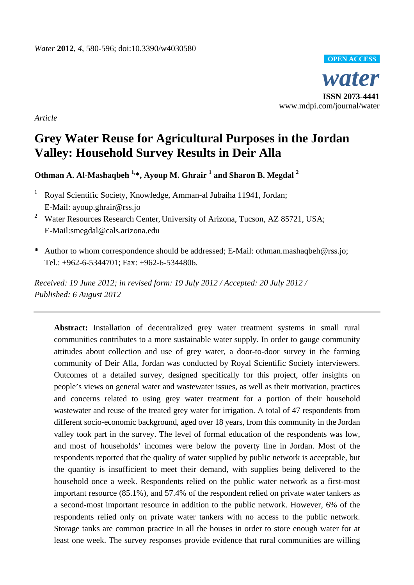

*Article* 

# **Grey Water Reuse for Agricultural Purposes in the Jordan Valley: Household Survey Results in Deir Alla**

**Othman A. Al-Mashaqbeh 1,\*, Ayoup M. Ghrair 1 and Sharon B. Megdal <sup>2</sup>**

- 1 Royal Scientific Society, Knowledge, Amman-al Jubaiha 11941, Jordan; E-Mail: ayoup.ghrair@rss.jo
- <sup>2</sup> Water Resources Research Center, University of Arizona, Tucson, AZ 85721, USA; E-Mail:smegdal@cals.arizona.edu
- **\*** Author to whom correspondence should be addressed; E-Mail: othman.mashaqbeh@rss.jo; Tel.: +962-6-5344701; Fax: +962-6-5344806.

*Received: 19 June 2012; in revised form: 19 July 2012 / Accepted: 20 July 2012 / Published: 6 August 2012* 

**Abstract:** Installation of decentralized grey water treatment systems in small rural communities contributes to a more sustainable water supply. In order to gauge community attitudes about collection and use of grey water, a door-to-door survey in the farming community of Deir Alla, Jordan was conducted by Royal Scientific Society interviewers. Outcomes of a detailed survey, designed specifically for this project, offer insights on people's views on general water and wastewater issues, as well as their motivation, practices and concerns related to using grey water treatment for a portion of their household wastewater and reuse of the treated grey water for irrigation. A total of 47 respondents from different socio-economic background, aged over 18 years, from this community in the Jordan valley took part in the survey. The level of formal education of the respondents was low, and most of households' incomes were below the poverty line in Jordan. Most of the respondents reported that the quality of water supplied by public network is acceptable, but the quantity is insufficient to meet their demand, with supplies being delivered to the household once a week. Respondents relied on the public water network as a first-most important resource (85.1%), and 57.4% of the respondent relied on private water tankers as a second-most important resource in addition to the public network. However, 6% of the respondents relied only on private water tankers with no access to the public network. Storage tanks are common practice in all the houses in order to store enough water for at least one week. The survey responses provide evidence that rural communities are willing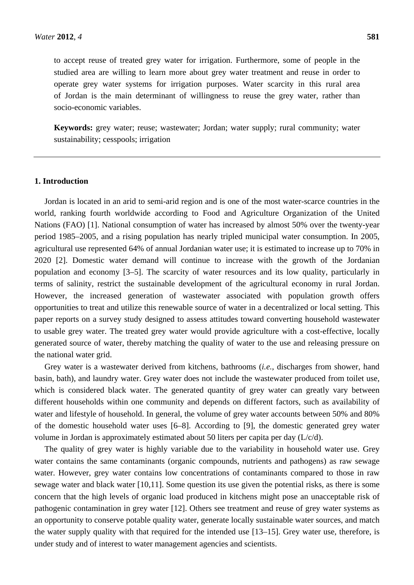to accept reuse of treated grey water for irrigation. Furthermore, some of people in the studied area are willing to learn more about grey water treatment and reuse in order to operate grey water systems for irrigation purposes. Water scarcity in this rural area of Jordan is the main determinant of willingness to reuse the grey water, rather than socio-economic variables.

**Keywords:** grey water; reuse; wastewater; Jordan; water supply; rural community; water sustainability; cesspools; irrigation

## **1. Introduction**

Jordan is located in an arid to semi-arid region and is one of the most water-scarce countries in the world, ranking fourth worldwide according to Food and Agriculture Organization of the United Nations (FAO) [1]. National consumption of water has increased by almost 50% over the twenty-year period 1985–2005, and a rising population has nearly tripled municipal water consumption. In 2005, agricultural use represented 64% of annual Jordanian water use; it is estimated to increase up to 70% in 2020 [2]. Domestic water demand will continue to increase with the growth of the Jordanian population and economy [3–5]. The scarcity of water resources and its low quality, particularly in terms of salinity, restrict the sustainable development of the agricultural economy in rural Jordan. However, the increased generation of wastewater associated with population growth offers opportunities to treat and utilize this renewable source of water in a decentralized or local setting. This paper reports on a survey study designed to assess attitudes toward converting household wastewater to usable grey water. The treated grey water would provide agriculture with a cost-effective, locally generated source of water, thereby matching the quality of water to the use and releasing pressure on the national water grid.

Grey water is a wastewater derived from kitchens, bathrooms (*i.e.*, discharges from shower, hand basin, bath), and laundry water. Grey water does not include the wastewater produced from toilet use, which is considered black water. The generated quantity of grey water can greatly vary between different households within one community and depends on different factors, such as availability of water and lifestyle of household. In general, the volume of grey water accounts between 50% and 80% of the domestic household water uses [6–8]. According to [9], the domestic generated grey water volume in Jordan is approximately estimated about 50 liters per capita per day (L/c/d).

The quality of grey water is highly variable due to the variability in household water use. Grey water contains the same contaminants (organic compounds, nutrients and pathogens) as raw sewage water. However, grey water contains low concentrations of contaminants compared to those in raw sewage water and black water [10,11]. Some question its use given the potential risks, as there is some concern that the high levels of organic load produced in kitchens might pose an unacceptable risk of pathogenic contamination in grey water [12]. Others see treatment and reuse of grey water systems as an opportunity to conserve potable quality water, generate locally sustainable water sources, and match the water supply quality with that required for the intended use [13–15]. Grey water use, therefore, is under study and of interest to water management agencies and scientists.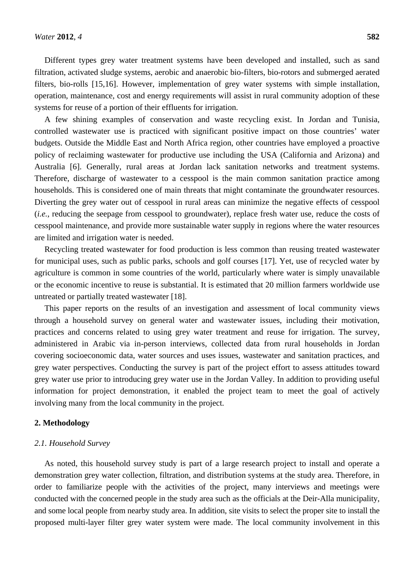Different types grey water treatment systems have been developed and installed, such as sand filtration, activated sludge systems, aerobic and anaerobic bio-filters, bio-rotors and submerged aerated filters, bio-rolls [15,16]. However, implementation of grey water systems with simple installation, operation, maintenance, cost and energy requirements will assist in rural community adoption of these systems for reuse of a portion of their effluents for irrigation.

A few shining examples of conservation and waste recycling exist. In Jordan and Tunisia, controlled wastewater use is practiced with significant positive impact on those countries' water budgets. Outside the Middle East and North Africa region, other countries have employed a proactive policy of reclaiming wastewater for productive use including the USA (California and Arizona) and Australia [6]. Generally, rural areas at Jordan lack sanitation networks and treatment systems. Therefore, discharge of wastewater to a cesspool is the main common sanitation practice among households. This is considered one of main threats that might contaminate the groundwater resources. Diverting the grey water out of cesspool in rural areas can minimize the negative effects of cesspool (*i.e.*, reducing the seepage from cesspool to groundwater), replace fresh water use, reduce the costs of cesspool maintenance, and provide more sustainable water supply in regions where the water resources are limited and irrigation water is needed.

Recycling treated wastewater for food production is less common than reusing treated wastewater for municipal uses, such as public parks, schools and golf courses [17]. Yet, use of recycled water by agriculture is common in some countries of the world, particularly where water is simply unavailable or the economic incentive to reuse is substantial. It is estimated that 20 million farmers worldwide use untreated or partially treated wastewater [18].

This paper reports on the results of an investigation and assessment of local community views through a household survey on general water and wastewater issues, including their motivation, practices and concerns related to using grey water treatment and reuse for irrigation. The survey, administered in Arabic via in-person interviews, collected data from rural households in Jordan covering socioeconomic data, water sources and uses issues, wastewater and sanitation practices, and grey water perspectives. Conducting the survey is part of the project effort to assess attitudes toward grey water use prior to introducing grey water use in the Jordan Valley. In addition to providing useful information for project demonstration, it enabled the project team to meet the goal of actively involving many from the local community in the project.

### **2. Methodology**

#### *2.1. Household Survey*

As noted, this household survey study is part of a large research project to install and operate a demonstration grey water collection, filtration, and distribution systems at the study area. Therefore, in order to familiarize people with the activities of the project, many interviews and meetings were conducted with the concerned people in the study area such as the officials at the Deir-Alla municipality, and some local people from nearby study area. In addition, site visits to select the proper site to install the proposed multi-layer filter grey water system were made. The local community involvement in this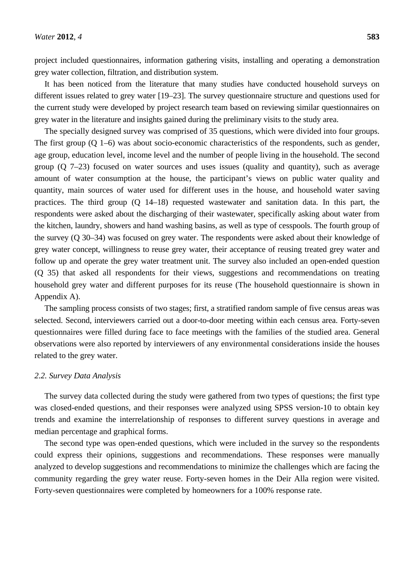project included questionnaires, information gathering visits, installing and operating a demonstration grey water collection, filtration, and distribution system.

It has been noticed from the literature that many studies have conducted household surveys on different issues related to grey water [19–23]. The survey questionnaire structure and questions used for the current study were developed by project research team based on reviewing similar questionnaires on grey water in the literature and insights gained during the preliminary visits to the study area.

The specially designed survey was comprised of 35 questions, which were divided into four groups. The first group (Q 1–6) was about socio-economic characteristics of the respondents, such as gender, age group, education level, income level and the number of people living in the household. The second group (Q 7–23) focused on water sources and uses issues (quality and quantity), such as average amount of water consumption at the house, the participant's views on public water quality and quantity, main sources of water used for different uses in the house, and household water saving practices. The third group (Q 14–18) requested wastewater and sanitation data. In this part, the respondents were asked about the discharging of their wastewater, specifically asking about water from the kitchen, laundry, showers and hand washing basins, as well as type of cesspools. The fourth group of the survey (Q 30–34) was focused on grey water. The respondents were asked about their knowledge of grey water concept, willingness to reuse grey water, their acceptance of reusing treated grey water and follow up and operate the grey water treatment unit. The survey also included an open-ended question (Q 35) that asked all respondents for their views, suggestions and recommendations on treating household grey water and different purposes for its reuse (The household questionnaire is shown in Appendix A).

The sampling process consists of two stages; first, a stratified random sample of five census areas was selected. Second, interviewers carried out a door-to-door meeting within each census area. Forty-seven questionnaires were filled during face to face meetings with the families of the studied area. General observations were also reported by interviewers of any environmental considerations inside the houses related to the grey water.

#### *2.2. Survey Data Analysis*

The survey data collected during the study were gathered from two types of questions; the first type was closed-ended questions, and their responses were analyzed using SPSS version-10 to obtain key trends and examine the interrelationship of responses to different survey questions in average and median percentage and graphical forms.

The second type was open-ended questions, which were included in the survey so the respondents could express their opinions, suggestions and recommendations. These responses were manually analyzed to develop suggestions and recommendations to minimize the challenges which are facing the community regarding the grey water reuse. Forty-seven homes in the Deir Alla region were visited. Forty-seven questionnaires were completed by homeowners for a 100% response rate.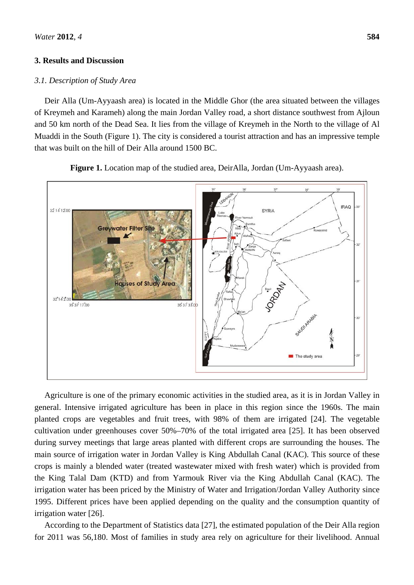### **3. Results and Discussion**

### *3.1. Description of Study Area*

Deir Alla (Um-Ayyaash area) is located in the Middle Ghor (the area situated between the villages of Kreymeh and Karameh) along the main Jordan Valley road, a short distance southwest from Ajloun and 50 km north of the Dead Sea. It lies from the village of Kreymeh in the North to the village of Al Muaddi in the South (Figure 1). The city is considered a tourist attraction and has an impressive temple that was built on the hill of Deir Alla around 1500 BC.



**Figure 1.** Location map of the studied area, DeirAlla, Jordan (Um-Ayyaash area).

Agriculture is one of the primary economic activities in the studied area, as it is in Jordan Valley in general. Intensive irrigated agriculture has been in place in this region since the 1960s. The main planted crops are vegetables and fruit trees, with 98% of them are irrigated [24]. The vegetable cultivation under greenhouses cover 50%–70% of the total irrigated area [25]. It has been observed during survey meetings that large areas planted with different crops are surrounding the houses. The main source of irrigation water in Jordan Valley is King Abdullah Canal (KAC). This source of these crops is mainly a blended water (treated wastewater mixed with fresh water) which is provided from the King Talal Dam (KTD) and from Yarmouk River via the King Abdullah Canal (KAC). The irrigation water has been priced by the Ministry of Water and Irrigation/Jordan Valley Authority since 1995. Different prices have been applied depending on the quality and the consumption quantity of irrigation water [26].

According to the Department of Statistics data [27], the estimated population of the Deir Alla region for 2011 was 56,180. Most of families in study area rely on agriculture for their livelihood. Annual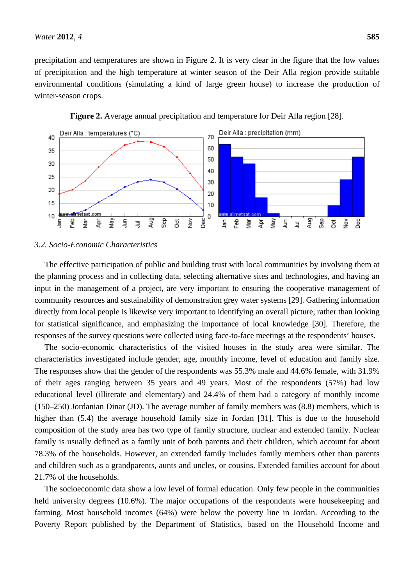precipitation and temperatures are shown in Figure 2. It is very clear in the figure that the low values of precipitation and the high temperature at winter season of the Deir Alla region provide suitable environmental conditions (simulating a kind of large green house) to increase the production of winter-season crops.





#### *3.2. Socio-Economic Characteristics*

The effective participation of public and building trust with local communities by involving them at the planning process and in collecting data, selecting alternative sites and technologies, and having an input in the management of a project, are very important to ensuring the cooperative management of community resources and sustainability of demonstration grey water systems [29]. Gathering information directly from local people is likewise very important to identifying an overall picture, rather than looking for statistical significance, and emphasizing the importance of local knowledge [30]. Therefore, the responses of the survey questions were collected using face-to-face meetings at the respondents' houses.

The socio-economic characteristics of the visited houses in the study area were similar. The characteristics investigated include gender, age, monthly income, level of education and family size. The responses show that the gender of the respondents was 55.3% male and 44.6% female, with 31.9% of their ages ranging between 35 years and 49 years. Most of the respondents (57%) had low educational level (illiterate and elementary) and 24.4% of them had a category of monthly income (150–250) Jordanian Dinar (JD). The average number of family members was (8.8) members, which is higher than (5.4) the average household family size in Jordan [31]. This is due to the household composition of the study area has two type of family structure, nuclear and extended family. Nuclear family is usually defined as a family unit of both parents and their children, which account for about 78.3% of the households. However, an extended family includes family members other than parents and children such as a grandparents, aunts and uncles, or cousins. Extended families account for about 21.7% of the households.

The socioeconomic data show a low level of formal education. Only few people in the communities held university degrees (10.6%). The major occupations of the respondents were housekeeping and farming. Most household incomes (64%) were below the poverty line in Jordan. According to the Poverty Report published by the Department of Statistics, based on the Household Income and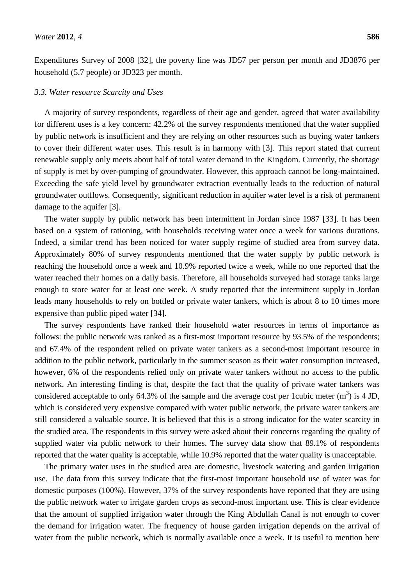Expenditures Survey of 2008 [32], the poverty line was JD57 per person per month and JD3876 per household (5.7 people) or JD323 per month.

#### *3.3. Water resource Scarcity and Uses*

A majority of survey respondents, regardless of their age and gender, agreed that water availability for different uses is a key concern: 42.2% of the survey respondents mentioned that the water supplied by public network is insufficient and they are relying on other resources such as buying water tankers to cover their different water uses. This result is in harmony with [3]. This report stated that current renewable supply only meets about half of total water demand in the Kingdom. Currently, the shortage of supply is met by over-pumping of groundwater. However, this approach cannot be long-maintained. Exceeding the safe yield level by groundwater extraction eventually leads to the reduction of natural groundwater outflows. Consequently, significant reduction in aquifer water level is a risk of permanent damage to the aquifer [3].

The water supply by public network has been intermittent in Jordan since 1987 [33]. It has been based on a system of rationing, with households receiving water once a week for various durations. Indeed, a similar trend has been noticed for water supply regime of studied area from survey data. Approximately 80% of survey respondents mentioned that the water supply by public network is reaching the household once a week and 10.9% reported twice a week, while no one reported that the water reached their homes on a daily basis. Therefore, all households surveyed had storage tanks large enough to store water for at least one week. A study reported that the intermittent supply in Jordan leads many households to rely on bottled or private water tankers, which is about 8 to 10 times more expensive than public piped water [34].

The survey respondents have ranked their household water resources in terms of importance as follows: the public network was ranked as a first-most important resource by 93.5% of the respondents; and 67.4% of the respondent relied on private water tankers as a second-most important resource in addition to the public network, particularly in the summer season as their water consumption increased, however, 6% of the respondents relied only on private water tankers without no access to the public network. An interesting finding is that, despite the fact that the quality of private water tankers was considered acceptable to only 64.3% of the sample and the average cost per 1 cubic meter  $(m^3)$  is 4 JD, which is considered very expensive compared with water public network, the private water tankers are still considered a valuable source. It is believed that this is a strong indicator for the water scarcity in the studied area. The respondents in this survey were asked about their concerns regarding the quality of supplied water via public network to their homes. The survey data show that 89.1% of respondents reported that the water quality is acceptable, while 10.9% reported that the water quality is unacceptable.

The primary water uses in the studied area are domestic, livestock watering and garden irrigation use. The data from this survey indicate that the first-most important household use of water was for domestic purposes (100%). However, 37% of the survey respondents have reported that they are using the public network water to irrigate garden crops as second-most important use. This is clear evidence that the amount of supplied irrigation water through the King Abdullah Canal is not enough to cover the demand for irrigation water. The frequency of house garden irrigation depends on the arrival of water from the public network, which is normally available once a week. It is useful to mention here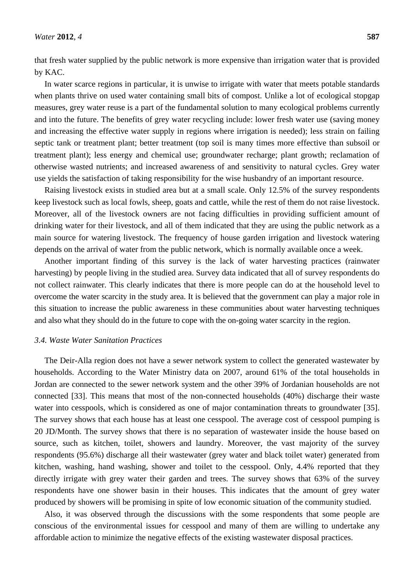that fresh water supplied by the public network is more expensive than irrigation water that is provided by KAC.

In water scarce regions in particular, it is unwise to irrigate with water that meets potable standards when plants thrive on used water containing small bits of compost. Unlike a lot of ecological stopgap measures, grey water reuse is a part of the fundamental solution to many ecological problems currently and into the future. The benefits of grey water recycling include: lower fresh water use (saving money and increasing the effective water supply in regions where irrigation is needed); less strain on failing septic tank or treatment plant; better treatment (top soil is many times more effective than subsoil or treatment plant); less energy and chemical use; groundwater recharge; plant growth; reclamation of otherwise wasted nutrients; and increased awareness of and sensitivity to natural cycles. Grey water use yields the satisfaction of taking responsibility for the wise husbandry of an important resource.

Raising livestock exists in studied area but at a small scale. Only 12.5% of the survey respondents keep livestock such as local fowls, sheep, goats and cattle, while the rest of them do not raise livestock. Moreover, all of the livestock owners are not facing difficulties in providing sufficient amount of drinking water for their livestock, and all of them indicated that they are using the public network as a main source for watering livestock. The frequency of house garden irrigation and livestock watering depends on the arrival of water from the public network, which is normally available once a week.

Another important finding of this survey is the lack of water harvesting practices (rainwater harvesting) by people living in the studied area. Survey data indicated that all of survey respondents do not collect rainwater. This clearly indicates that there is more people can do at the household level to overcome the water scarcity in the study area. It is believed that the government can play a major role in this situation to increase the public awareness in these communities about water harvesting techniques and also what they should do in the future to cope with the on-going water scarcity in the region.

#### *3.4. Waste Water Sanitation Practices*

The Deir-Alla region does not have a sewer network system to collect the generated wastewater by households. According to the Water Ministry data on 2007, around 61% of the total households in Jordan are connected to the sewer network system and the other 39% of Jordanian households are not connected [33]. This means that most of the non-connected households (40%) discharge their waste water into cesspools, which is considered as one of major contamination threats to groundwater [35]. The survey shows that each house has at least one cesspool. The average cost of cesspool pumping is 20 JD/Month. The survey shows that there is no separation of wastewater inside the house based on source, such as kitchen, toilet, showers and laundry. Moreover, the vast majority of the survey respondents (95.6%) discharge all their wastewater (grey water and black toilet water) generated from kitchen, washing, hand washing, shower and toilet to the cesspool. Only, 4.4% reported that they directly irrigate with grey water their garden and trees. The survey shows that 63% of the survey respondents have one shower basin in their houses. This indicates that the amount of grey water produced by showers will be promising in spite of low economic situation of the community studied.

Also, it was observed through the discussions with the some respondents that some people are conscious of the environmental issues for cesspool and many of them are willing to undertake any affordable action to minimize the negative effects of the existing wastewater disposal practices.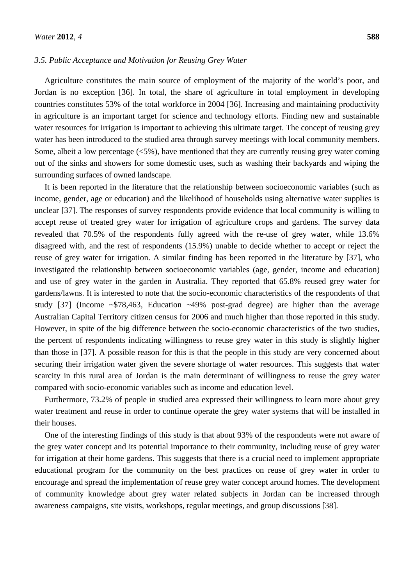#### *3.5. Public Acceptance and Motivation for Reusing Grey Water*

Agriculture constitutes the main source of employment of the majority of the world's poor, and Jordan is no exception [36]. In total, the share of agriculture in total employment in developing countries constitutes 53% of the total workforce in 2004 [36]. Increasing and maintaining productivity in agriculture is an important target for science and technology efforts. Finding new and sustainable water resources for irrigation is important to achieving this ultimate target. The concept of reusing grey water has been introduced to the studied area through survey meetings with local community members. Some, albeit a low percentage  $\langle 5\% \rangle$ , have mentioned that they are currently reusing grey water coming out of the sinks and showers for some domestic uses, such as washing their backyards and wiping the surrounding surfaces of owned landscape.

It is been reported in the literature that the relationship between socioeconomic variables (such as income, gender, age or education) and the likelihood of households using alternative water supplies is unclear [37]. The responses of survey respondents provide evidence that local community is willing to accept reuse of treated grey water for irrigation of agriculture crops and gardens. The survey data revealed that 70.5% of the respondents fully agreed with the re-use of grey water, while 13.6% disagreed with, and the rest of respondents (15.9%) unable to decide whether to accept or reject the reuse of grey water for irrigation. A similar finding has been reported in the literature by [37], who investigated the relationship between socioeconomic variables (age, gender, income and education) and use of grey water in the garden in Australia. They reported that 65.8% reused grey water for gardens/lawns. It is interested to note that the socio-economic characteristics of the respondents of that study [37] (Income ~\$78,463, Education ~49% post-grad degree) are higher than the average Australian Capital Territory citizen census for 2006 and much higher than those reported in this study. However, in spite of the big difference between the socio-economic characteristics of the two studies, the percent of respondents indicating willingness to reuse grey water in this study is slightly higher than those in [37]. A possible reason for this is that the people in this study are very concerned about securing their irrigation water given the severe shortage of water resources. This suggests that water scarcity in this rural area of Jordan is the main determinant of willingness to reuse the grey water compared with socio-economic variables such as income and education level.

Furthermore, 73.2% of people in studied area expressed their willingness to learn more about grey water treatment and reuse in order to continue operate the grey water systems that will be installed in their houses.

One of the interesting findings of this study is that about 93% of the respondents were not aware of the grey water concept and its potential importance to their community, including reuse of grey water for irrigation at their home gardens. This suggests that there is a crucial need to implement appropriate educational program for the community on the best practices on reuse of grey water in order to encourage and spread the implementation of reuse grey water concept around homes. The development of community knowledge about grey water related subjects in Jordan can be increased through awareness campaigns, site visits, workshops, regular meetings, and group discussions [38].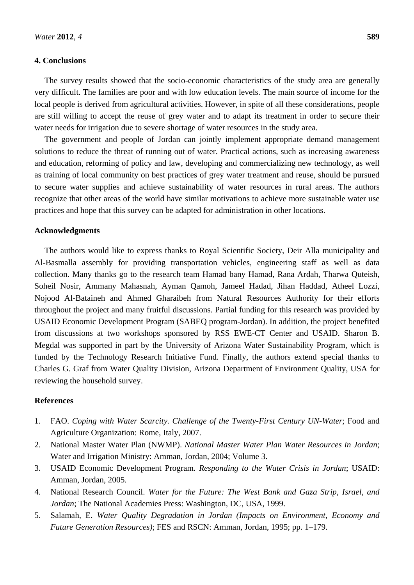### **4. Conclusions**

The survey results showed that the socio-economic characteristics of the study area are generally very difficult. The families are poor and with low education levels. The main source of income for the local people is derived from agricultural activities. However, in spite of all these considerations, people are still willing to accept the reuse of grey water and to adapt its treatment in order to secure their water needs for irrigation due to severe shortage of water resources in the study area.

The government and people of Jordan can jointly implement appropriate demand management solutions to reduce the threat of running out of water. Practical actions, such as increasing awareness and education, reforming of policy and law, developing and commercializing new technology, as well as training of local community on best practices of grey water treatment and reuse, should be pursued to secure water supplies and achieve sustainability of water resources in rural areas. The authors recognize that other areas of the world have similar motivations to achieve more sustainable water use practices and hope that this survey can be adapted for administration in other locations.

#### **Acknowledgments**

The authors would like to express thanks to Royal Scientific Society, Deir Alla municipality and Al-Basmalla assembly for providing transportation vehicles, engineering staff as well as data collection. Many thanks go to the research team Hamad bany Hamad, Rana Ardah, Tharwa Quteish, Soheil Nosir, Ammany Mahasnah, Ayman Qamoh, Jameel Hadad, Jihan Haddad, Atheel Lozzi, Nojood Al-Bataineh and Ahmed Gharaibeh from Natural Resources Authority for their efforts throughout the project and many fruitful discussions. Partial funding for this research was provided by USAID Economic Development Program (SABEQ program-Jordan). In addition, the project benefited from discussions at two workshops sponsored by RSS EWE-CT Center and USAID. Sharon B. Megdal was supported in part by the University of Arizona Water Sustainability Program, which is funded by the Technology Research Initiative Fund. Finally, the authors extend special thanks to Charles G. Graf from Water Quality Division, Arizona Department of Environment Quality, USA for reviewing the household survey.

### **References**

- 1. FAO. *Coping with Water Scarcity. Challenge of the Twenty-First Century UN-Water*; Food and Agriculture Organization: Rome, Italy, 2007.
- 2. National Master Water Plan (NWMP). *National Master Water Plan Water Resources in Jordan*; Water and Irrigation Ministry: Amman, Jordan, 2004; Volume 3.
- 3. USAID Economic Development Program. *Responding to the Water Crisis in Jordan*; USAID: Amman, Jordan, 2005.
- 4. National Research Council. *Water for the Future: The West Bank and Gaza Strip, Israel, and Jordan*; The National Academies Press: Washington, DC, USA, 1999.
- 5. Salamah, E. *Water Quality Degradation in Jordan (Impacts on Environment, Economy and Future Generation Resources)*; FES and RSCN: Amman, Jordan, 1995; pp. 1–179.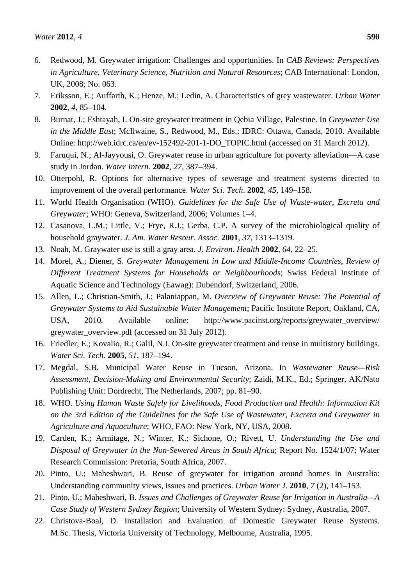- 6. Redwood, M. Greywater irrigation: Challenges and opportunities. In *CAB Reviews: Perspectives in Agriculture, Veterinary Science, Nutrition and Natural Resources*; CAB International: London, UK, 2008; No. 063.
- 7. Eriksson, E.; Auffarth, K.; Henze, M.; Ledin, A. Characteristics of grey wastewater. *Urban Water* **2002**, *4*, 85–104.
- 8. Burnat, J.; Eshtayah, I. On-site greywater treatment in Qebia Village, Palestine. In *Greywater Use in the Middle East*; McIlwaine, S., Redwood, M., Eds.; IDRC: Ottawa, Canada, 2010. Available Online: http://web.idrc.ca/en/ev-152492-201-1-DO\_TOPIC.html (accessed on 31 March 2012).
- 9. Faruqui, N.; Al-Jayyousi, O. Greywater reuse in urban agriculture for poverty alleviation—A case study in Jordan. *Water Intern*. **2002**, *27*, 387–394.
- 10. Otterpohl, R. Options for alternative types of sewerage and treatment systems directed to improvement of the overall performance. *Water Sci. Tech*. **2002**, *45*, 149–158.
- 11. World Health Organisation (WHO). *Guidelines for the Safe Use of Waste-water, Excreta and Greywater*; WHO: Geneva, Switzerland, 2006; Volumes 1–4.
- 12. Casanova, L.M.; Little, V.; Frye, R.J.; Gerba, C.P. A survey of the microbiological quality of household graywater. *J. Am. Water Resour. Assoc.* **2001**, *37*, 1313–1319.
- 13. Noah, M. Graywater use is still a gray area. *J. Environ. Health* **2002**, *64*, 22–25.
- 14. Morel, A.; Diener, S. *Greywater Management in Low and Middle-Income Countries, Review of Different Treatment Systems for Households or Neighbourhoods*; Swiss Federal Institute of Aquatic Science and Technology (Eawag): Dubendorf, Switzerland, 2006.
- 15. Allen, L.; Christian-Smith, J.; Palaniappan, M. *Overview of Greywater Reuse: The Potential of Greywater Systems to Aid Sustainable Water Management*; Pacific Institute Report, Oakland, CA, USA, 2010. Available online: http://www.pacinst.org/reports/greywater\_overview/ greywater\_overview.pdf (accessed on 31 July 2012).
- 16. Friedler, E.; Kovalio, R.; Galil, N.I. On-site greywater treatment and reuse in multistory buildings. *Water Sci. Tech.* **2005**, *51*, 187–194.
- 17. Megdal, S.B. Municipal Water Reuse in Tucson, Arizona. In *Wastewater Reuse—Risk Assessment, Decision-Making and Environmental Security*; Zaidi, M.K., Ed.; Springer, AK/Nato Publishing Unit: Dordrecht, The Netherlands, 2007; pp. 81–90.
- 18. WHO. *Using Human Waste Safely for Livelihoods, Food Production and Health: Information Kit on the 3rd Edition of the Guidelines for the Safe Use of Wastewater, Excreta and Greywater in Agriculture and Aquaculture*; WHO, FAO: New York, NY, USA, 2008.
- 19. Carden, K.; Armitage, N.; Winter, K.; Sichone, O.; Rivett, U. *Understanding the Use and Disposal of Greywater in the Non-Sewered Areas in South Africa*; Report No. 1524/1/07; Water Research Commission: Pretoria, South Africa, 2007.
- 20. Pinto, U.; Maheshwari, B. Reuse of greywater for irrigation around homes in Australia: Understanding community views, issues and practices. *Urban Water J*. **2010**, *7* (2), 141–153.
- 21. Pinto, U.; Maheshwari, B. *Issues and Challenges of Greywater Reuse for Irrigation in Australia—A Case Study of Western Sydney Region*; University of Western Sydney: Sydney, Australia, 2007.
- 22. Christova-Boal, D. Installation and Evaluation of Domestic Greywater Reuse Systems. M.Sc. Thesis, Victoria University of Technology, Melbourne, Australia, 1995.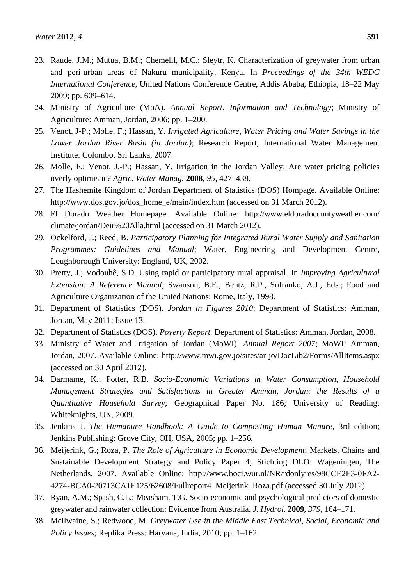- 23. Raude, J.M.; Mutua, B.M.; Chemelil, M.C.; Sleytr, K. Characterization of greywater from urban and peri-urban areas of Nakuru municipality, Kenya. In *Proceedings of the 34th WEDC International Conference*, United Nations Conference Centre, Addis Ababa, Ethiopia, 18–22 May 2009; pp. 609–614.
- 24. Ministry of Agriculture (MoA). *Annual Report. Information and Technology*; Ministry of Agriculture: Amman, Jordan, 2006; pp. 1–200.
- 25. Venot, J-P.; Molle, F.; Hassan, Y. *Irrigated Agriculture, Water Pricing and Water Savings in the Lower Jordan River Basin (in Jordan)*; Research Report; International Water Management Institute: Colombo, Sri Lanka, 2007.
- 26. Molle, F.; Venot, J.-P.; Hassan, Y. Irrigation in the Jordan Valley: Are water pricing policies overly optimistic? *Agric. Water Manag.* **2008**, *95*, 427–438.
- 27. The Hashemite Kingdom of Jordan Department of Statistics (DOS) Hompage. Available Online: http://www.dos.gov.jo/dos\_home\_e/main/index.htm (accessed on 31 March 2012).
- 28. El Dorado Weather Homepage. Available Online: http://www.eldoradocountyweather.com/ climate/jordan/Deir%20Alla.html (accessed on 31 March 2012).
- 29. Ockelford, J.; Reed, B. *Participatory Planning for Integrated Rural Water Supply and Sanitation Programmes: Guidelines and Manual*; Water, Engineering and Development Centre, Loughborough University: England, UK, 2002.
- 30. Pretty, J.; Vodouhê, S.D. Using rapid or participatory rural appraisal. In *Improving Agricultural Extension: A Reference Manual*; Swanson, B.E., Bentz, R.P., Sofranko, A.J., Eds.; Food and Agriculture Organization of the United Nations: Rome, Italy, 1998.
- 31. Department of Statistics (DOS). *Jordan in Figures 2010*; Department of Statistics: Amman, Jordan, May 2011; Issue 13.
- 32. Department of Statistics (DOS). *Poverty Report.* Department of Statistics: Amman, Jordan, 2008.
- 33. Ministry of Water and Irrigation of Jordan (MoWI). *Annual Report 2007*; MoWI: Amman, Jordan, 2007. Available Online: http://www.mwi.gov.jo/sites/ar-jo/DocLib2/Forms/AllItems.aspx (accessed on 30 April 2012).
- 34. Darmame, K.; Potter, R.B. *Socio-Economic Variations in Water Consumption, Household Management Strategies and Satisfactions in Greater Amman, Jordan: the Results of a Quantitative Household Survey*; Geographical Paper No. 186; University of Reading: Whiteknights, UK, 2009.
- 35. Jenkins J. *The Humanure Handbook: A Guide to Composting Human Manure*, 3rd edition; Jenkins Publishing: Grove City, OH, USA, 2005; pp. 1–256.
- 36. Meijerink, G.; Roza, P. *The Role of Agriculture in Economic Development*; Markets, Chains and Sustainable Development Strategy and Policy Paper 4; Stichting DLO: Wageningen, The Netherlands, 2007. Available Online: http://www.boci.wur.nl/NR/rdonlyres/98CCE2E3-0FA2- 4274-BCA0-20713CA1E125/62608/Fullreport4\_Meijerink\_Roza.pdf (accessed 30 July 2012).
- 37. Ryan, A.M.; Spash, C.L.; Measham, T.G. Socio-economic and psychological predictors of domestic greywater and rainwater collection: Evidence from Australia. *J. Hydrol*. **2009**, *379*, 164–171.
- 38. Mcllwaine, S.; Redwood, M. *Greywater Use in the Middle East Technical, Social, Economic and Policy Issues*; Replika Press: Haryana, India, 2010; pp. 1–162.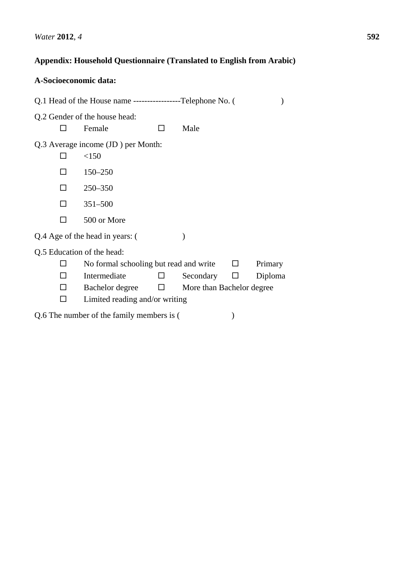# **Appendix: Household Questionnaire (Translated to English from Arabic)**

| A-Socioeconomic data:                                        |                                        |        |                           |         |         |  |  |
|--------------------------------------------------------------|----------------------------------------|--------|---------------------------|---------|---------|--|--|
| Q.1 Head of the House name ------------------Telephone No. ( |                                        |        |                           |         |         |  |  |
| Q.2 Gender of the house head:                                |                                        |        |                           |         |         |  |  |
|                                                              | Female                                 |        | Male                      |         |         |  |  |
| Q.3 Average income (JD) per Month:                           |                                        |        |                           |         |         |  |  |
|                                                              | <150                                   |        |                           |         |         |  |  |
|                                                              | $150 - 250$                            |        |                           |         |         |  |  |
| П                                                            | $250 - 350$                            |        |                           |         |         |  |  |
| П                                                            | $351 - 500$                            |        |                           |         |         |  |  |
|                                                              | 500 or More                            |        |                           |         |         |  |  |
| Q.4 Age of the head in years: (                              |                                        |        |                           |         |         |  |  |
| Q.5 Education of the head:                                   |                                        |        |                           |         |         |  |  |
|                                                              | No formal schooling but read and write |        |                           | $\perp$ | Primary |  |  |
|                                                              | Intermediate                           |        | Secondary                 | ப       | Diploma |  |  |
| П                                                            | Bachelor degree                        | $\Box$ | More than Bachelor degree |         |         |  |  |
|                                                              | Limited reading and/or writing         |        |                           |         |         |  |  |
| Q.6 The number of the family members is (                    |                                        |        |                           |         |         |  |  |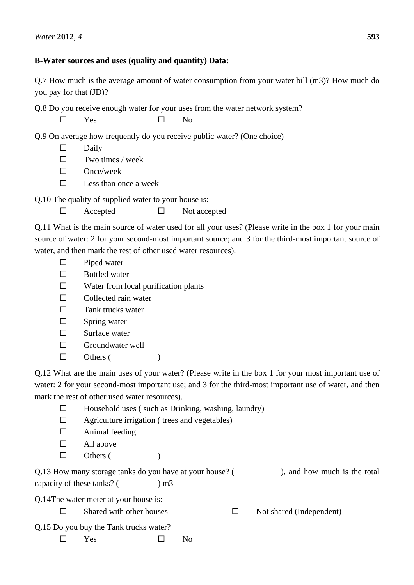## **B-Water sources and uses (quality and quantity) Data:**

Q.7 How much is the average amount of water consumption from your water bill (m3)? How much do you pay for that (JD)?

Q.8 Do you receive enough water for your uses from the water network system?

 $\square$  Yes  $\square$  No

Q.9 On average how frequently do you receive public water? (One choice)

- $\square$  Daily
- $\square$  Two times / week
- $\square$  Once/week
- $\square$  Less than once a week

Q.10 The quality of supplied water to your house is:

| Accepted | Not accepted |
|----------|--------------|
|          |              |

Q.11 What is the main source of water used for all your uses? (Please write in the box 1 for your main source of water: 2 for your second-most important source; and 3 for the third-most important source of water, and then mark the rest of other used water resources).

- $\square$  Piped water
- □ Bottled water
- $\square$  Water from local purification plants
- $\Box$  Collected rain water
- $\square$  Tank trucks water
- $\square$  Spring water
- $\square$  Surface water
- $\Box$  Groundwater well
- $\Box$  Others ()

Q.12 What are the main uses of your water? (Please write in the box 1 for your most important use of water: 2 for your second-most important use; and 3 for the third-most important use of water, and then mark the rest of other used water resources).

- $\Box$  Household uses (such as Drinking, washing, laundry)
- $\Box$  Agriculture irrigation ( trees and vegetables)
- $\Box$  Animal feeding
- $\Box$  All above
- $\Box$  Others ()

| Q.13 How many storage tanks do you have at your house? ( |              | ), and how much is the total |
|----------------------------------------------------------|--------------|------------------------------|
| capacity of these tanks?                                 | $\mathbf{m}$ |                              |

Q.14The water meter at your house is:

- $\Box$  Shared with other houses  $\Box$  Not shared (Independent)
- Q.15 Do you buy the Tank trucks water?
	- $\square$  Yes  $\square$  No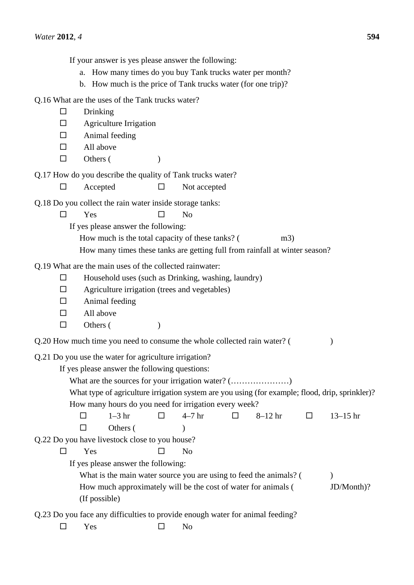If your answer is yes please answer the following:

- a. How many times do you buy Tank trucks water per month?
- b. How much is the price of Tank trucks water (for one trip)?

Q.16 What are the uses of the Tank trucks water?

 $\square$  Drinking  $\Box$  Agriculture Irrigation  $\Box$  Animal feeding  $\Box$  All above  $\Box$  Others () Q.17 How do you describe the quality of Tank trucks water?  $\Box$  Accepted  $\Box$  Not accepted Q.18 Do you collect the rain water inside storage tanks:  $\square$  Yes  $\square$  No If yes please answer the following: How much is the total capacity of these tanks? (m3) How many times these tanks are getting full from rainfall at winter season? Q.19 What are the main uses of the collected rainwater:  $\Box$  Household uses (such as Drinking, washing, laundry)  $\Box$  Agriculture irrigation (trees and vegetables)  $\Box$  Animal feeding  $\Box$  All above  $\Box$  Others () Q.20 How much time you need to consume the whole collected rain water? ( ) Q.21 Do you use the water for agriculture irrigation? If yes please answer the following questions: What are the sources for your irrigation water? (…………………) What type of agriculture irrigation system are you using (for example; flood, drip, sprinkler)? How many hours do you need for irrigation every week?  $\Box$  1–3 hr  $\Box$  4–7 hr  $\Box$  8–12 hr  $\Box$  13–15 hr  $\Box$  Others () Q.22 Do you have livestock close to you house?  $\square$  Yes  $\square$  No If yes please answer the following: What is the main water source you are using to feed the animals?  $($ How much approximately will be the cost of water for animals ( JD/Month)? (If possible) Q.23 Do you face any difficulties to provide enough water for animal feeding?  $\square$  Yes  $\square$  No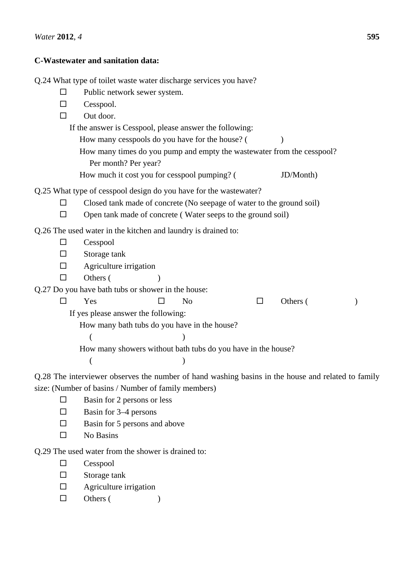## **C-Wastewater and sanitation data:**

Q.24 What type of toilet waste water discharge services you have?  $\square$  Public network sewer system.  $\Box$  Cesspool.  $\Box$  Out door. If the answer is Cesspool, please answer the following: How many cesspools do you have for the house? () How many times do you pump and empty the wastewater from the cesspool? Per month? Per year? How much it cost you for cesspool pumping? ( JD/Month) Q.25 What type of cesspool design do you have for the wastewater?  $\square$  Closed tank made of concrete (No seepage of water to the ground soil)  $\Box$  Open tank made of concrete (Water seeps to the ground soil) Q.26 The used water in the kitchen and laundry is drained to:  $\Box$  Cesspool  $\square$  Storage tank  $\Box$  Agriculture irrigation  $\Box$  Others () Q.27 Do you have bath tubs or shower in the house:  $\square$  Yes  $\square$  No  $\square$  Others () If yes please answer the following: How many bath tubs do you have in the house?  $($  ) How many showers without bath tubs do you have in the house?  $($  ) Q.28 The interviewer observes the number of hand washing basins in the house and related to family

size: (Number of basins / Number of family members)

- $\square$  Basin for 2 persons or less
- $\Box$  Basin for 3–4 persons
- $\square$  Basin for 5 persons and above
- $\n **N**o **B**asins\n$

Q.29 The used water from the shower is drained to:

- $\Box$  Cesspool
- $\square$  Storage tank
- $\Box$  Agriculture irrigation
- $\Box$  Others ()